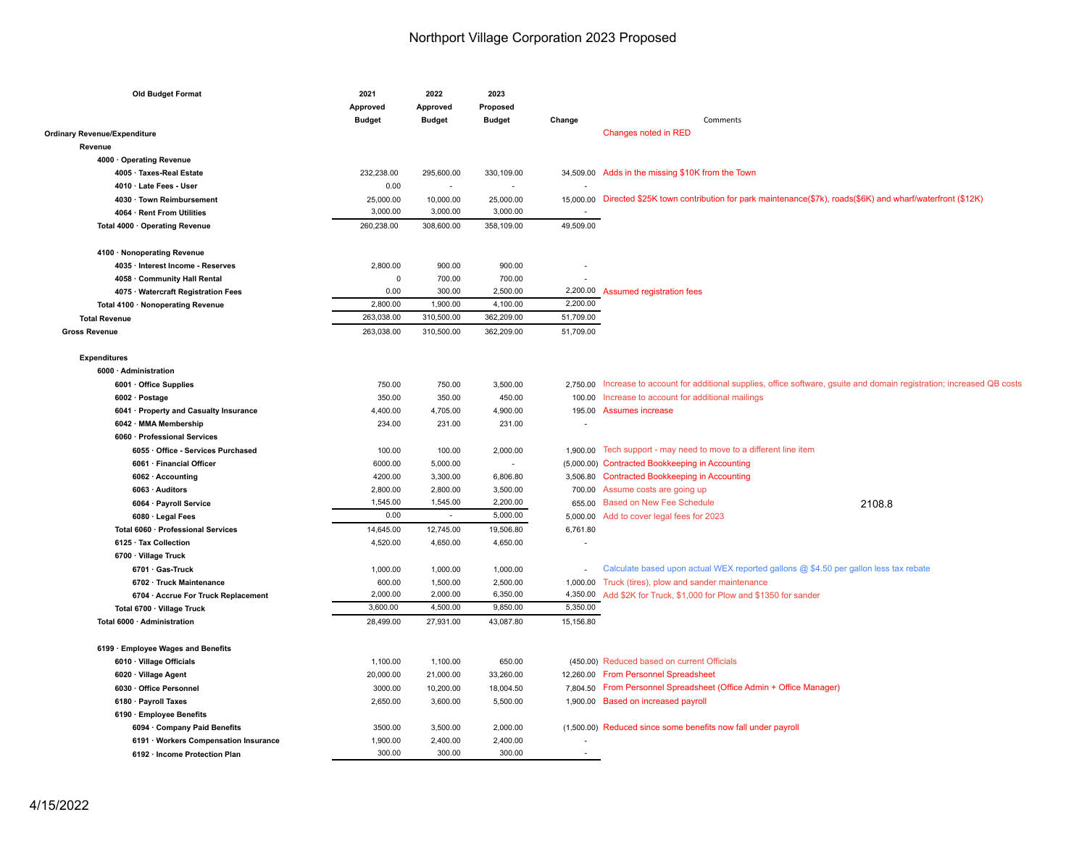| <b>Old Budget Format</b>               | 2021<br>Approved<br><b>Budget</b> | 2022<br>Approved<br><b>Budget</b> | 2023<br>Proposed<br><b>Budget</b> | Change                   | Comments                                                                                                                  |
|----------------------------------------|-----------------------------------|-----------------------------------|-----------------------------------|--------------------------|---------------------------------------------------------------------------------------------------------------------------|
| <b>Ordinary Revenue/Expenditure</b>    |                                   |                                   |                                   |                          | Changes noted in RED                                                                                                      |
| Revenue                                |                                   |                                   |                                   |                          |                                                                                                                           |
| 4000 · Operating Revenue               |                                   |                                   |                                   |                          |                                                                                                                           |
| 4005 · Taxes-Real Estate               | 232,238.00                        | 295,600.00                        | 330,109.00                        |                          | 34,509.00 Adds in the missing \$10K from the Town                                                                         |
| 4010 · Late Fees - User                | 0.00                              | $\sim$                            | $\overline{\phantom{a}}$          |                          |                                                                                                                           |
| 4030 · Town Reimbursement              | 25,000.00                         | 10,000.00                         | 25,000.00                         |                          | 15,000.00 Directed \$25K town contribution for park maintenance(\$7k), roads(\$6K) and wharf/waterfront (\$12K)           |
| 4064 · Rent From Utilities             | 3,000.00                          | 3,000.00                          | 3,000.00                          |                          |                                                                                                                           |
| Total 4000 · Operating Revenue         | 260,238.00                        | 308,600.00                        | 358,109.00                        | 49,509.00                |                                                                                                                           |
|                                        |                                   |                                   |                                   |                          |                                                                                                                           |
| 4100 · Nonoperating Revenue            |                                   |                                   |                                   |                          |                                                                                                                           |
| 4035 · Interest Income - Reserves      | 2,800.00                          | 900.00                            | 900.00                            |                          |                                                                                                                           |
| 4058 · Community Hall Rental           | $\mathsf 0$                       | 700.00                            | 700.00                            | $\overline{\phantom{a}}$ |                                                                                                                           |
| 4075 · Watercraft Registration Fees    | 0.00                              | 300.00                            | 2,500.00                          | 2,200.00                 | <b>Assumed registration fees</b>                                                                                          |
| Total 4100 · Nonoperating Revenue      | 2,800.00                          | 1,900.00                          | 4,100.00                          | 2,200.00                 |                                                                                                                           |
| <b>Total Revenue</b>                   | 263,038.00                        | 310,500.00                        | 362,209.00                        | 51,709.00                |                                                                                                                           |
| <b>Gross Revenue</b>                   | 263,038.00                        | 310,500.00                        | 362,209.00                        | 51,709.00                |                                                                                                                           |
| <b>Expenditures</b>                    |                                   |                                   |                                   |                          |                                                                                                                           |
| 6000 · Administration                  |                                   |                                   |                                   |                          |                                                                                                                           |
| 6001 · Office Supplies                 | 750.00                            | 750.00                            | 3,500.00                          |                          | 2,750.00 Increase to account for additional supplies, office software, gsuite and domain registration; increased QB costs |
| 6002 · Postage                         | 350.00                            | 350.00                            | 450.00                            |                          | 100.00 Increase to account for additional mailings                                                                        |
| 6041 · Property and Casualty Insurance | 4,400.00                          | 4,705.00                          | 4,900.00                          |                          | 195.00 Assumes increase                                                                                                   |
| 6042 · MMA Membership                  | 234.00                            | 231.00                            | 231.00                            | ٠                        |                                                                                                                           |
| 6060 · Professional Services           |                                   |                                   |                                   |                          |                                                                                                                           |
| 6055 · Office - Services Purchased     | 100.00                            | 100.00                            | 2,000.00                          | 1,900.00                 | Tech support - may need to move to a different line item                                                                  |
| 6061 · Financial Officer               | 6000.00                           | 5,000.00                          | $\overline{\phantom{a}}$          |                          | (5,000.00) Contracted Bookkeeping in Accounting                                                                           |
| 6062 · Accounting                      | 4200.00                           | 3,300.00                          | 6,806.80                          |                          | 3,506.80 Contracted Bookkeeping in Accounting                                                                             |
| 6063 · Auditors                        | 2,800.00                          | 2,800.00                          | 3,500.00                          | 700.00                   | Assume costs are going up                                                                                                 |
| 6064 · Payroll Service                 | 1,545.00                          | 1,545.00                          | 2,200.00                          | 655.00                   | <b>Based on New Fee Schedule</b><br>2108.8                                                                                |
| 6080 · Legal Fees                      | 0.00                              | $\sim$                            | 5,000.00                          | 5,000.00                 | Add to cover legal fees for 2023                                                                                          |
| Total 6060 · Professional Services     | 14,645.00                         | 12,745.00                         | 19,506.80                         | 6,761.80                 |                                                                                                                           |
| 6125 · Tax Collection                  | 4,520.00                          | 4,650.00                          | 4,650.00                          | Ĭ.                       |                                                                                                                           |
| 6700 · Village Truck                   |                                   |                                   |                                   |                          |                                                                                                                           |
| 6701 · Gas-Truck                       | 1,000.00                          | 1,000.00                          | 1,000.00                          | $\overline{\phantom{a}}$ | Calculate based upon actual WEX reported gallons @ \$4.50 per gallon less tax rebate                                      |
| 6702 · Truck Maintenance               | 600.00                            | 1,500.00                          | 2,500.00                          | 1,000.00                 | Truck (tires), plow and sander maintenance                                                                                |
| 6704 · Accrue For Truck Replacement    | 2.000.00                          | 2,000.00                          | 6,350.00                          | 4,350.00                 | Add \$2K for Truck, \$1,000 for Plow and \$1350 for sander                                                                |
| Total 6700 · Village Truck             | 3,600.00                          | 4,500.00                          | 9,850.00                          | 5,350.00                 |                                                                                                                           |
| Total 6000 · Administration            | 28,499.00                         | 27,931.00                         | 43,087.80                         | 15,156.80                |                                                                                                                           |
| 6199 · Employee Wages and Benefits     |                                   |                                   |                                   |                          |                                                                                                                           |
| 6010 · Village Officials               | 1,100.00                          | 1,100.00                          | 650.00                            |                          | (450.00) Reduced based on current Officials                                                                               |
| 6020 · Village Agent                   | 20,000.00                         | 21,000.00                         | 33,260.00                         |                          | 12,260.00 From Personnel Spreadsheet                                                                                      |
| 6030 · Office Personnel                | 3000.00                           | 10,200.00                         | 18,004.50                         | 7,804.50                 | From Personnel Spreadsheet (Office Admin + Office Manager)                                                                |
| 6180 · Payroll Taxes                   | 2,650.00                          | 3,600.00                          | 5,500.00                          | 1,900.00                 | <b>Based on increased payroll</b>                                                                                         |
| 6190 · Employee Benefits               |                                   |                                   |                                   |                          |                                                                                                                           |
| 6094 · Company Paid Benefits           | 3500.00                           | 3,500.00                          | 2,000.00                          |                          | (1,500.00) Reduced since some benefits now fall under payroll                                                             |
| 6191 · Workers Compensation Insurance  | 1,900.00                          | 2,400.00                          | 2,400.00                          |                          |                                                                                                                           |
| 6192 · Income Protection Plan          | 300.00                            | 300.00                            | 300.00                            | $\overline{\phantom{a}}$ |                                                                                                                           |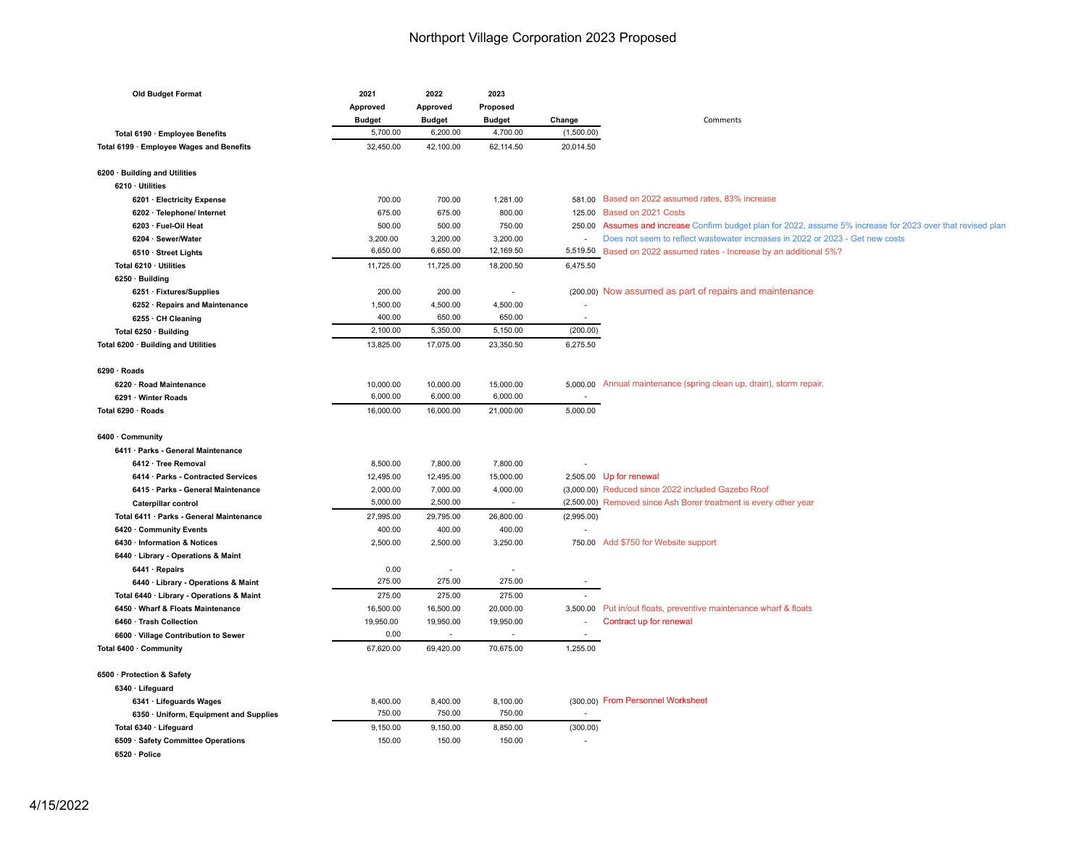| <b>Old Budget Format</b>                                                         | 2021              | 2022          | 2023                     |                          |                                                                                                              |
|----------------------------------------------------------------------------------|-------------------|---------------|--------------------------|--------------------------|--------------------------------------------------------------------------------------------------------------|
|                                                                                  | Approved          | Approved      | Proposed                 |                          |                                                                                                              |
|                                                                                  | <b>Budget</b>     | <b>Budget</b> | <b>Budget</b>            | Change                   | Comments                                                                                                     |
| Total 6190 · Employee Benefits                                                   | 5,700.00          | 6,200.00      | 4,700.00                 | (1,500.00)               |                                                                                                              |
| Total 6199 · Employee Wages and Benefits                                         | 32,450.00         | 42,100.00     | 62,114.50                | 20,014.50                |                                                                                                              |
| 6200 · Building and Utilities                                                    |                   |               |                          |                          |                                                                                                              |
| 6210 · Utilities                                                                 |                   |               |                          |                          |                                                                                                              |
| 6201 · Electricity Expense                                                       | 700.00            | 700.00        | 1,281.00                 |                          | 581.00 Based on 2022 assumed rates, 83% increase                                                             |
| 6202 · Telephone/ Internet                                                       | 675.00            | 675.00        | 800.00                   | 125.00                   | Based on 2021 Costs                                                                                          |
| 6203 · Fuel-Oil Heat                                                             | 500.00            | 500.00        | 750.00                   |                          | 250.00 Assumes and increase Confirm budget plan for 2022, assume 5% increase for 2023 over that revised plan |
| 6204 · Sewer/Water                                                               | 3,200.00          | 3,200.00      | 3,200.00                 |                          | Does not seem to reflect wastewater increases in 2022 or 2023 - Get new costs                                |
| 6510 · Street Lights                                                             | 6,650.00          | 6,650.00      | 12,169.50                |                          | 5,519.50 Based on 2022 assumed rates - Increase by an additional 5%?                                         |
| Total 6210 · Utilities                                                           | 11,725.00         | 11,725.00     | 18,200.50                | 6,475.50                 |                                                                                                              |
| 6250 · Building                                                                  |                   |               |                          |                          |                                                                                                              |
| 6251 · Fixtures/Supplies                                                         | 200.00            | 200.00        | $\overline{\phantom{a}}$ |                          | (200.00) Now assumed as part of repairs and maintenance                                                      |
| 6252 · Repairs and Maintenance                                                   | 1,500.00          | 4,500.00      | 4,500.00                 | ÷,                       |                                                                                                              |
| $6255 \cdot$ CH Cleaning                                                         | 400.00            | 650.00        | 650.00                   | $\sim$                   |                                                                                                              |
| Total 6250 · Building                                                            | 2,100.00          | 5,350.00      | 5,150.00                 | (200.00)                 |                                                                                                              |
| Total 6200 · Building and Utilities                                              | 13,825.00         | 17,075.00     | 23,350.50                | 6,275.50                 |                                                                                                              |
| $6290 \cdot$ Roads                                                               |                   |               |                          |                          |                                                                                                              |
| 6220 · Road Maintenance                                                          | 10,000.00         | 10,000.00     | 15,000.00                |                          | 5,000.00 Annual maintenance (spring clean up, drain), storm repair,                                          |
| 6291 · Winter Roads                                                              | 6,000.00          | 6,000.00      | 6,000.00                 |                          |                                                                                                              |
| Total 6290 · Roads                                                               | 16,000.00         | 16,000.00     | 21,000.00                | 5,000.00                 |                                                                                                              |
| 6400 · Community                                                                 |                   |               |                          |                          |                                                                                                              |
| 6411 · Parks - General Maintenance                                               |                   |               |                          |                          |                                                                                                              |
| 6412 · Tree Removal                                                              | 8,500.00          | 7,800.00      | 7,800.00                 |                          |                                                                                                              |
| 6414 · Parks - Contracted Services                                               | 12,495.00         | 12,495.00     | 15,000.00                |                          | 2,505.00 Up for renewal                                                                                      |
| 6415 · Parks - General Maintenance                                               | 2,000.00          | 7,000.00      | 4,000.00                 |                          | (3,000.00) Reduced since 2022 included Gazebo Roof                                                           |
| Caterpillar control                                                              | 5,000.00          | 2,500.00      | $\sim$                   |                          | (2,500.00) Removed since Ash Borer treatment is every other year                                             |
| Total 6411 · Parks - General Maintenance                                         | 27,995.00         | 29,795.00     | 26,800.00                | (2,995.00)               |                                                                                                              |
| 6420 Community Events                                                            | 400.00            | 400.00        | 400.00                   |                          |                                                                                                              |
| 6430 · Information & Notices                                                     | 2,500.00          | 2,500.00      | 3,250.00                 |                          | 750.00 Add \$750 for Website support                                                                         |
| 6440 · Library - Operations & Maint                                              |                   |               |                          |                          |                                                                                                              |
| 6441 · Repairs                                                                   | 0.00              | $\sim$        |                          |                          |                                                                                                              |
|                                                                                  | 275.00            | 275.00        | 275.00                   |                          |                                                                                                              |
| 6440 · Library - Operations & Maint<br>Total 6440 · Library - Operations & Maint | 275.00            | 275.00        | 275.00                   |                          |                                                                                                              |
| 6450 · Wharf & Floats Maintenance                                                | 16,500.00         | 16,500.00     | 20,000.00                |                          | 3,500.00 Put in/out floats, preventive maintenance wharf & floats                                            |
| 6460 · Trash Collection                                                          |                   |               |                          |                          | Contract up for renewal                                                                                      |
|                                                                                  | 19,950.00<br>0.00 | 19,950.00     | 19,950.00                |                          |                                                                                                              |
| 6600 · Village Contribution to Sewer                                             |                   |               |                          |                          |                                                                                                              |
| Total 6400 · Community                                                           | 67,620.00         | 69,420.00     | 70,675.00                | 1,255.00                 |                                                                                                              |
| 6500 · Protection & Safety                                                       |                   |               |                          |                          |                                                                                                              |
| 6340 · Lifeguard                                                                 |                   |               |                          |                          |                                                                                                              |
| 6341 · Lifeguards Wages                                                          | 8,400.00          | 8,400.00      | 8,100.00                 |                          | (300.00) From Personnel Worksheet                                                                            |
| 6350 · Uniform, Equipment and Supplies                                           | 750.00            | 750.00        | 750.00                   | $\overline{\phantom{a}}$ |                                                                                                              |
| Total 6340 · Lifeguard                                                           | 9,150.00          | 9,150.00      | 8,850.00                 | (300.00)                 |                                                                                                              |
| 6509 · Safety Committee Operations                                               | 150.00            | 150.00        | 150.00                   | $\overline{a}$           |                                                                                                              |
| 6520 · Police                                                                    |                   |               |                          |                          |                                                                                                              |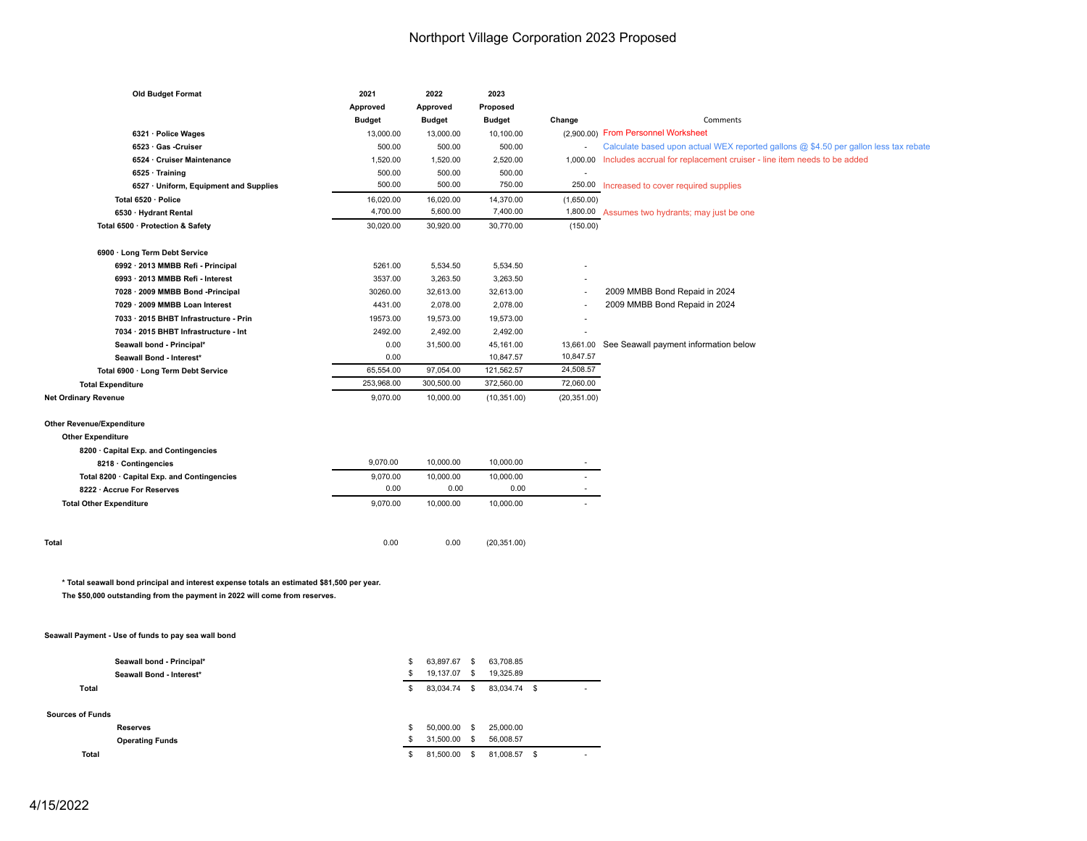| <b>Old Budget Format</b>                                                                   | 2021          | 2022                     | 2023          |                          |                                                                                      |
|--------------------------------------------------------------------------------------------|---------------|--------------------------|---------------|--------------------------|--------------------------------------------------------------------------------------|
|                                                                                            | Approved      | Approved                 | Proposed      |                          |                                                                                      |
|                                                                                            | <b>Budget</b> | <b>Budget</b>            | <b>Budget</b> | Change                   | Comments                                                                             |
| 6321 · Police Wages                                                                        | 13,000.00     | 13,000.00                | 10,100.00     |                          | (2,900.00) From Personnel Worksheet                                                  |
| 6523 · Gas -Cruiser                                                                        | 500.00        | 500.00                   | 500.00        | $\overline{\phantom{a}}$ | Calculate based upon actual WEX reported gallons @ \$4.50 per gallon less tax rebate |
| 6524 · Cruiser Maintenance                                                                 | 1,520.00      | 1,520.00                 | 2,520.00      |                          | 1,000.00 Includes accrual for replacement cruiser - line item needs to be added      |
| 6525 · Training                                                                            | 500.00        | 500.00                   | 500.00        |                          |                                                                                      |
| 6527 · Uniform, Equipment and Supplies                                                     | 500.00        | 500.00                   | 750.00        | 250.00                   | Increased to cover required supplies                                                 |
| Total 6520 · Police                                                                        | 16,020.00     | 16,020.00                | 14,370.00     | (1,650.00)               |                                                                                      |
| 6530 · Hydrant Rental                                                                      | 4,700.00      | 5,600.00                 | 7,400.00      |                          | 1,800.00 Assumes two hydrants; may just be one                                       |
| Total 6500 · Protection & Safety                                                           | 30,020.00     | 30,920.00                | 30,770.00     | (150.00)                 |                                                                                      |
|                                                                                            |               |                          |               |                          |                                                                                      |
| 6900 · Long Term Debt Service                                                              |               |                          |               |                          |                                                                                      |
| 6992 · 2013 MMBB Refi - Principal                                                          | 5261.00       | 5,534.50                 | 5,534.50      |                          |                                                                                      |
| 6993 · 2013 MMBB Refi - Interest                                                           | 3537.00       | 3,263.50                 | 3,263.50      |                          |                                                                                      |
| 7028 · 2009 MMBB Bond -Principal                                                           | 30260.00      | 32,613.00                | 32,613.00     | i,                       | 2009 MMBB Bond Repaid in 2024                                                        |
| 7029 · 2009 MMBB Loan Interest                                                             | 4431.00       | 2,078.00                 | 2,078.00      |                          | 2009 MMBB Bond Repaid in 2024                                                        |
| 7033 · 2015 BHBT Infrastructure - Prin                                                     | 19573.00      | 19,573.00                | 19,573.00     |                          |                                                                                      |
| 7034 · 2015 BHBT Infrastructure - Int                                                      | 2492.00       | 2,492.00                 | 2,492.00      |                          |                                                                                      |
| Seawall bond - Principal*                                                                  | 0.00          | 31,500.00                | 45,161.00     |                          | 13,661.00 See Seawall payment information below                                      |
| Seawall Bond - Interest*                                                                   | 0.00          |                          | 10,847.57     | 10,847.57                |                                                                                      |
| Total 6900 · Long Term Debt Service                                                        | 65,554.00     | 97,054.00                | 121,562.57    | 24,508.57                |                                                                                      |
| <b>Total Expenditure</b>                                                                   | 253,968.00    | 300,500.00               | 372,560.00    | 72,060.00                |                                                                                      |
| <b>Net Ordinary Revenue</b>                                                                | 9,070.00      | 10,000.00                | (10, 351.00)  | (20, 351.00)             |                                                                                      |
|                                                                                            |               |                          |               |                          |                                                                                      |
| <b>Other Revenue/Expenditure</b>                                                           |               |                          |               |                          |                                                                                      |
| <b>Other Expenditure</b>                                                                   |               |                          |               |                          |                                                                                      |
| 8200 · Capital Exp. and Contingencies                                                      |               |                          |               |                          |                                                                                      |
| 8218 · Contingencies                                                                       | 9,070.00      | 10,000.00                | 10,000.00     |                          |                                                                                      |
| Total 8200 · Capital Exp. and Contingencies                                                | 9,070.00      | 10,000.00                | 10,000.00     |                          |                                                                                      |
| 8222 · Accrue For Reserves                                                                 | 0.00          | 0.00                     | 0.00          |                          |                                                                                      |
|                                                                                            |               |                          |               |                          |                                                                                      |
| <b>Total Other Expenditure</b>                                                             | 9,070.00      | 10,000.00                | 10,000.00     |                          |                                                                                      |
|                                                                                            |               |                          |               |                          |                                                                                      |
|                                                                                            |               |                          |               |                          |                                                                                      |
| Total                                                                                      | 0.00          | 0.00                     | (20, 351.00)  |                          |                                                                                      |
|                                                                                            |               |                          |               |                          |                                                                                      |
|                                                                                            |               |                          |               |                          |                                                                                      |
| * Total seawall bond principal and interest expense totals an estimated \$81,500 per year. |               |                          |               |                          |                                                                                      |
| The \$50,000 outstanding from the payment in 2022 will come from reserves.                 |               |                          |               |                          |                                                                                      |
|                                                                                            |               |                          |               |                          |                                                                                      |
|                                                                                            |               |                          |               |                          |                                                                                      |
| Seawall Payment - Use of funds to pay sea wall bond                                        |               |                          |               |                          |                                                                                      |
|                                                                                            |               |                          |               |                          |                                                                                      |
| Seawall bond - Principal*                                                                  |               | 63,897.67 \$<br>\$<br>s. | 63,708.85     |                          |                                                                                      |
| Seawall Bond - Interest*                                                                   |               | 19,137.07 \$             | 19,325.89     |                          |                                                                                      |
| <b>Total</b>                                                                               |               | \$<br>83,034.74 \$       | 83,034.74 \$  |                          |                                                                                      |
|                                                                                            |               |                          |               |                          |                                                                                      |
| <b>Sources of Funds</b>                                                                    |               |                          |               |                          |                                                                                      |
| <b>Reserves</b>                                                                            |               | 50,000.00 \$<br>S        | 25,000.00     |                          |                                                                                      |
| <b>Operating Funds</b>                                                                     |               | 31,500.00 \$<br>\$       | 56,008.57     |                          |                                                                                      |

 **Total** (\$ 81,500.00) (\$ 81,008.57) (\$ -  )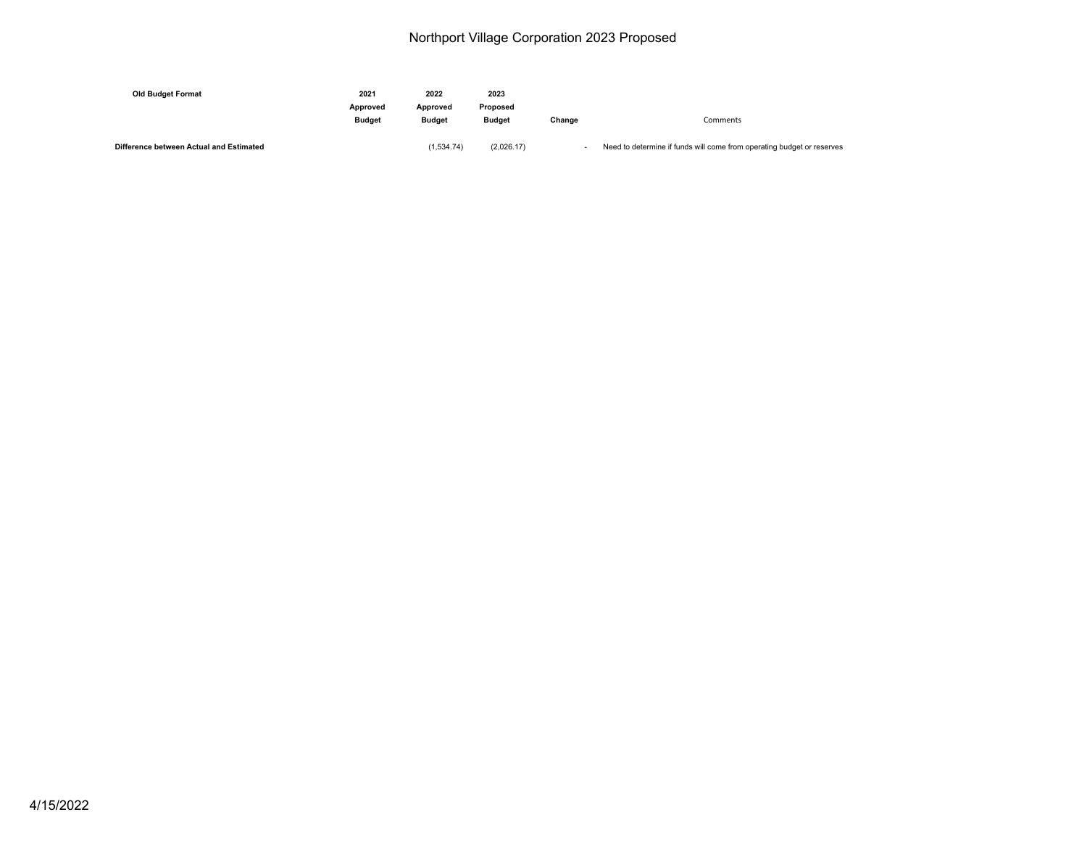| <b>Old Budget Format</b>                | 2021<br>Approved |                           | 2023<br>Proposed |        |                                                                        |
|-----------------------------------------|------------------|---------------------------|------------------|--------|------------------------------------------------------------------------|
|                                         | <b>Budget</b>    | Approved<br><b>Budget</b> | <b>Budget</b>    | Change | Comments                                                               |
| Difference between Actual and Estimated |                  | (1.534.74)                | (2,026.17)       |        | Need to determine if funds will come from operating budget or reserves |